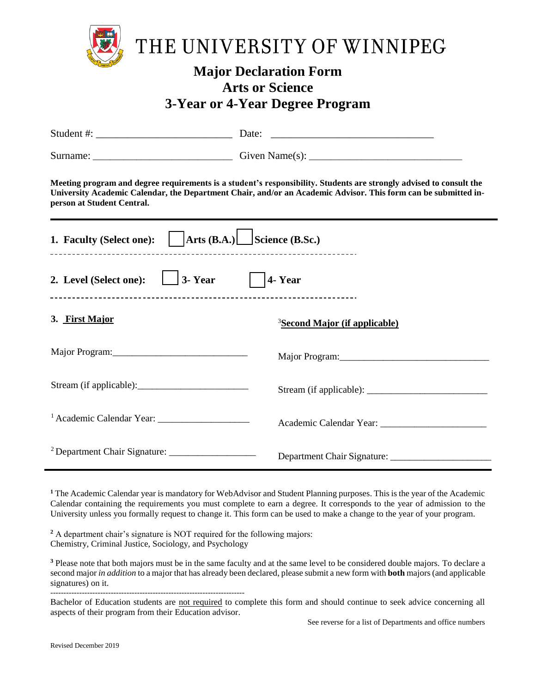

## **Major Declaration Form Arts or Science 3-Year or 4-Year Degree Program**

| Student #: $\frac{1}{2}$ $\frac{1}{2}$ $\frac{1}{2}$ $\frac{1}{2}$ $\frac{1}{2}$ $\frac{1}{2}$ $\frac{1}{2}$ $\frac{1}{2}$ $\frac{1}{2}$ $\frac{1}{2}$ $\frac{1}{2}$ $\frac{1}{2}$ $\frac{1}{2}$ $\frac{1}{2}$ $\frac{1}{2}$ $\frac{1}{2}$ $\frac{1}{2}$ $\frac{1}{2}$ $\frac{1}{2}$ $\frac{1}{2}$ $\frac{1}{2}$ |                                           |  |
|------------------------------------------------------------------------------------------------------------------------------------------------------------------------------------------------------------------------------------------------------------------------------------------------------------------|-------------------------------------------|--|
|                                                                                                                                                                                                                                                                                                                  |                                           |  |
| Meeting program and degree requirements is a student's responsibility. Students are strongly advised to consult the<br>University Academic Calendar, the Department Chair, and/or an Academic Advisor. This form can be submitted in-<br>person at Student Central.                                              |                                           |  |
| 1. Faculty (Select one): $\vert$ Arts (B.A.) Science (B.Sc.)                                                                                                                                                                                                                                                     |                                           |  |
| 2. Level (Select one): $\boxed{\phantom{0}3\phantom{0}}$ 3- Year $\phantom{0}$   4- Year                                                                                                                                                                                                                         |                                           |  |
| 3. First Major                                                                                                                                                                                                                                                                                                   | <sup>3</sup> Second Major (if applicable) |  |
|                                                                                                                                                                                                                                                                                                                  |                                           |  |
|                                                                                                                                                                                                                                                                                                                  |                                           |  |
|                                                                                                                                                                                                                                                                                                                  |                                           |  |
| <sup>2</sup> Department Chair Signature: _____________________                                                                                                                                                                                                                                                   | Department Chair Signature: _____________ |  |

<sup>1</sup> The Academic Calendar year is mandatory for WebAdvisor and Student Planning purposes. This is the year of the Academic Calendar containing the requirements you must complete to earn a degree. It corresponds to the year of admission to the University unless you formally request to change it. This form can be used to make a change to the year of your program.

**<sup>2</sup>** A department chair's signature is NOT required for the following majors: Chemistry, Criminal Justice, Sociology, and Psychology

 $\mathcal{L}_\text{max}$  and  $\mathcal{L}_\text{max}$  and  $\mathcal{L}_\text{max}$  and  $\mathcal{L}_\text{max}$ 

<sup>3</sup> Please note that both majors must be in the same faculty and at the same level to be considered double majors. To declare a second major *in addition* to a major that has already been declared, please submit a new form with **both** majors (and applicable signatures) on it.

-------------------------------------------------------------------------- Bachelor of Education students are not required to complete this form and should continue to seek advice concerning all aspects of their program from their Education advisor.

See reverse for a list of Departments and office numbers